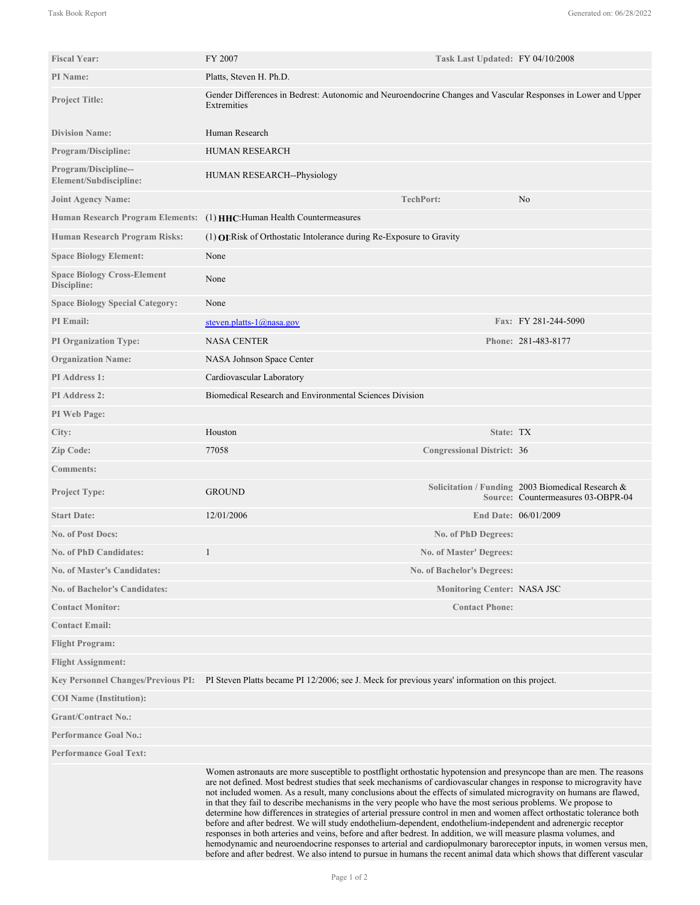| <b>Fiscal Year:</b>                               | FY 2007                                                                                                                                                                                                                                                                                                                                                                                                                                                                                                                                                                                                                                                                                                                                                                                                                                                                                                                                                                                                                                                                                                 | Task Last Updated: FY 04/10/2008   |                                                                                            |
|---------------------------------------------------|---------------------------------------------------------------------------------------------------------------------------------------------------------------------------------------------------------------------------------------------------------------------------------------------------------------------------------------------------------------------------------------------------------------------------------------------------------------------------------------------------------------------------------------------------------------------------------------------------------------------------------------------------------------------------------------------------------------------------------------------------------------------------------------------------------------------------------------------------------------------------------------------------------------------------------------------------------------------------------------------------------------------------------------------------------------------------------------------------------|------------------------------------|--------------------------------------------------------------------------------------------|
| PI Name:                                          | Platts, Steven H. Ph.D.                                                                                                                                                                                                                                                                                                                                                                                                                                                                                                                                                                                                                                                                                                                                                                                                                                                                                                                                                                                                                                                                                 |                                    |                                                                                            |
| <b>Project Title:</b>                             | Gender Differences in Bedrest: Autonomic and Neuroendocrine Changes and Vascular Responses in Lower and Upper<br>Extremities                                                                                                                                                                                                                                                                                                                                                                                                                                                                                                                                                                                                                                                                                                                                                                                                                                                                                                                                                                            |                                    |                                                                                            |
| <b>Division Name:</b>                             | Human Research                                                                                                                                                                                                                                                                                                                                                                                                                                                                                                                                                                                                                                                                                                                                                                                                                                                                                                                                                                                                                                                                                          |                                    |                                                                                            |
| <b>Program/Discipline:</b>                        | <b>HUMAN RESEARCH</b>                                                                                                                                                                                                                                                                                                                                                                                                                                                                                                                                                                                                                                                                                                                                                                                                                                                                                                                                                                                                                                                                                   |                                    |                                                                                            |
| Program/Discipline--<br>Element/Subdiscipline:    | HUMAN RESEARCH--Physiology                                                                                                                                                                                                                                                                                                                                                                                                                                                                                                                                                                                                                                                                                                                                                                                                                                                                                                                                                                                                                                                                              |                                    |                                                                                            |
| <b>Joint Agency Name:</b>                         |                                                                                                                                                                                                                                                                                                                                                                                                                                                                                                                                                                                                                                                                                                                                                                                                                                                                                                                                                                                                                                                                                                         | <b>TechPort:</b>                   | N <sub>0</sub>                                                                             |
| <b>Human Research Program Elements:</b>           | (1) HHC: Human Health Countermeasures                                                                                                                                                                                                                                                                                                                                                                                                                                                                                                                                                                                                                                                                                                                                                                                                                                                                                                                                                                                                                                                                   |                                    |                                                                                            |
| Human Research Program Risks:                     | $(1)$ <b>OI:</b> Risk of Orthostatic Intolerance during Re-Exposure to Gravity                                                                                                                                                                                                                                                                                                                                                                                                                                                                                                                                                                                                                                                                                                                                                                                                                                                                                                                                                                                                                          |                                    |                                                                                            |
| <b>Space Biology Element:</b>                     | None                                                                                                                                                                                                                                                                                                                                                                                                                                                                                                                                                                                                                                                                                                                                                                                                                                                                                                                                                                                                                                                                                                    |                                    |                                                                                            |
| <b>Space Biology Cross-Element</b><br>Discipline: | None                                                                                                                                                                                                                                                                                                                                                                                                                                                                                                                                                                                                                                                                                                                                                                                                                                                                                                                                                                                                                                                                                                    |                                    |                                                                                            |
| <b>Space Biology Special Category:</b>            | None                                                                                                                                                                                                                                                                                                                                                                                                                                                                                                                                                                                                                                                                                                                                                                                                                                                                                                                                                                                                                                                                                                    |                                    |                                                                                            |
| <b>PI</b> Email:                                  | steven.platts- $1$ @nasa.gov                                                                                                                                                                                                                                                                                                                                                                                                                                                                                                                                                                                                                                                                                                                                                                                                                                                                                                                                                                                                                                                                            |                                    | Fax: FY 281-244-5090                                                                       |
| <b>PI Organization Type:</b>                      | <b>NASA CENTER</b>                                                                                                                                                                                                                                                                                                                                                                                                                                                                                                                                                                                                                                                                                                                                                                                                                                                                                                                                                                                                                                                                                      |                                    | Phone: 281-483-8177                                                                        |
| <b>Organization Name:</b>                         | NASA Johnson Space Center                                                                                                                                                                                                                                                                                                                                                                                                                                                                                                                                                                                                                                                                                                                                                                                                                                                                                                                                                                                                                                                                               |                                    |                                                                                            |
| PI Address 1:                                     | Cardiovascular Laboratory                                                                                                                                                                                                                                                                                                                                                                                                                                                                                                                                                                                                                                                                                                                                                                                                                                                                                                                                                                                                                                                                               |                                    |                                                                                            |
| <b>PI</b> Address 2:                              | Biomedical Research and Environmental Sciences Division                                                                                                                                                                                                                                                                                                                                                                                                                                                                                                                                                                                                                                                                                                                                                                                                                                                                                                                                                                                                                                                 |                                    |                                                                                            |
| PI Web Page:                                      |                                                                                                                                                                                                                                                                                                                                                                                                                                                                                                                                                                                                                                                                                                                                                                                                                                                                                                                                                                                                                                                                                                         |                                    |                                                                                            |
| City:                                             | Houston                                                                                                                                                                                                                                                                                                                                                                                                                                                                                                                                                                                                                                                                                                                                                                                                                                                                                                                                                                                                                                                                                                 | State: TX                          |                                                                                            |
| Zip Code:                                         | 77058                                                                                                                                                                                                                                                                                                                                                                                                                                                                                                                                                                                                                                                                                                                                                                                                                                                                                                                                                                                                                                                                                                   | <b>Congressional District: 36</b>  |                                                                                            |
| <b>Comments:</b>                                  |                                                                                                                                                                                                                                                                                                                                                                                                                                                                                                                                                                                                                                                                                                                                                                                                                                                                                                                                                                                                                                                                                                         |                                    |                                                                                            |
| <b>Project Type:</b>                              | <b>GROUND</b>                                                                                                                                                                                                                                                                                                                                                                                                                                                                                                                                                                                                                                                                                                                                                                                                                                                                                                                                                                                                                                                                                           |                                    | Solicitation / Funding 2003 Biomedical Research $\&$<br>Source: Countermeasures 03-OBPR-04 |
| <b>Start Date:</b>                                | 12/01/2006                                                                                                                                                                                                                                                                                                                                                                                                                                                                                                                                                                                                                                                                                                                                                                                                                                                                                                                                                                                                                                                                                              |                                    | End Date: 06/01/2009                                                                       |
| No. of Post Docs:                                 |                                                                                                                                                                                                                                                                                                                                                                                                                                                                                                                                                                                                                                                                                                                                                                                                                                                                                                                                                                                                                                                                                                         | No. of PhD Degrees:                |                                                                                            |
| <b>No. of PhD Candidates:</b>                     |                                                                                                                                                                                                                                                                                                                                                                                                                                                                                                                                                                                                                                                                                                                                                                                                                                                                                                                                                                                                                                                                                                         | No. of Master' Degrees:            |                                                                                            |
| <b>No. of Master's Candidates:</b>                |                                                                                                                                                                                                                                                                                                                                                                                                                                                                                                                                                                                                                                                                                                                                                                                                                                                                                                                                                                                                                                                                                                         | No. of Bachelor's Degrees:         |                                                                                            |
| <b>No. of Bachelor's Candidates:</b>              |                                                                                                                                                                                                                                                                                                                                                                                                                                                                                                                                                                                                                                                                                                                                                                                                                                                                                                                                                                                                                                                                                                         | <b>Monitoring Center: NASA JSC</b> |                                                                                            |
| <b>Contact Monitor:</b>                           |                                                                                                                                                                                                                                                                                                                                                                                                                                                                                                                                                                                                                                                                                                                                                                                                                                                                                                                                                                                                                                                                                                         | <b>Contact Phone:</b>              |                                                                                            |
| <b>Contact Email:</b>                             |                                                                                                                                                                                                                                                                                                                                                                                                                                                                                                                                                                                                                                                                                                                                                                                                                                                                                                                                                                                                                                                                                                         |                                    |                                                                                            |
| <b>Flight Program:</b>                            |                                                                                                                                                                                                                                                                                                                                                                                                                                                                                                                                                                                                                                                                                                                                                                                                                                                                                                                                                                                                                                                                                                         |                                    |                                                                                            |
| <b>Flight Assignment:</b>                         |                                                                                                                                                                                                                                                                                                                                                                                                                                                                                                                                                                                                                                                                                                                                                                                                                                                                                                                                                                                                                                                                                                         |                                    |                                                                                            |
|                                                   | Key Personnel Changes/Previous PI: PI Steven Platts became PI 12/2006; see J. Meck for previous years' information on this project.                                                                                                                                                                                                                                                                                                                                                                                                                                                                                                                                                                                                                                                                                                                                                                                                                                                                                                                                                                     |                                    |                                                                                            |
| <b>COI</b> Name (Institution):                    |                                                                                                                                                                                                                                                                                                                                                                                                                                                                                                                                                                                                                                                                                                                                                                                                                                                                                                                                                                                                                                                                                                         |                                    |                                                                                            |
| <b>Grant/Contract No.:</b>                        |                                                                                                                                                                                                                                                                                                                                                                                                                                                                                                                                                                                                                                                                                                                                                                                                                                                                                                                                                                                                                                                                                                         |                                    |                                                                                            |
| <b>Performance Goal No.:</b>                      |                                                                                                                                                                                                                                                                                                                                                                                                                                                                                                                                                                                                                                                                                                                                                                                                                                                                                                                                                                                                                                                                                                         |                                    |                                                                                            |
| <b>Performance Goal Text:</b>                     |                                                                                                                                                                                                                                                                                                                                                                                                                                                                                                                                                                                                                                                                                                                                                                                                                                                                                                                                                                                                                                                                                                         |                                    |                                                                                            |
|                                                   | Women astronauts are more susceptible to postflight orthostatic hypotension and presyncope than are men. The reasons<br>are not defined. Most bedrest studies that seek mechanisms of cardiovascular changes in response to microgravity have<br>not included women. As a result, many conclusions about the effects of simulated microgravity on humans are flawed,<br>in that they fail to describe mechanisms in the very people who have the most serious problems. We propose to<br>determine how differences in strategies of arterial pressure control in men and women affect orthostatic tolerance both<br>before and after bedrest. We will study endothelium-dependent, endothelium-independent and adrenergic receptor<br>responses in both arteries and veins, before and after bedrest. In addition, we will measure plasma volumes, and<br>hemodynamic and neuroendocrine responses to arterial and cardiopulmonary baroreceptor inputs, in women versus men,<br>before and after bedrest. We also intend to pursue in humans the recent animal data which shows that different vascular |                                    |                                                                                            |